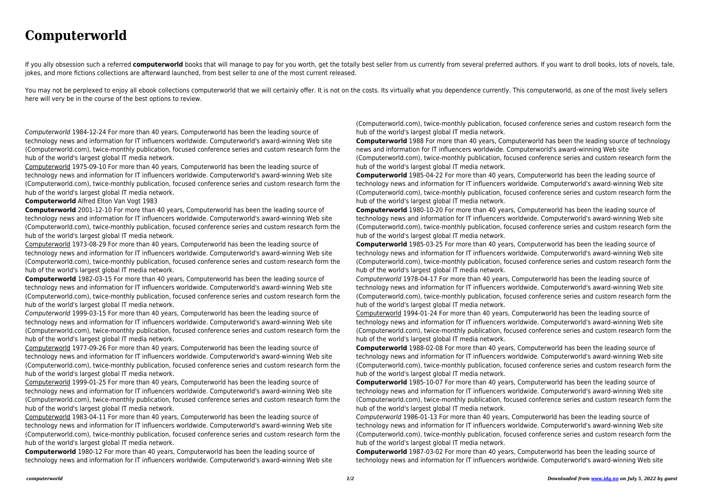## **Computerworld**

If you ally obsession such a referred computerworld books that will manage to pay for you worth, get the totally best seller from us currently from several preferred authors. If you want to droll books, lots of novels, tal jokes, and more fictions collections are afterward launched, from best seller to one of the most current released.

You may not be perplexed to enjoy all ebook collections computerworld that we will certainly offer. It is not on the costs. Its virtually what you dependence currently. This computerworld, as one of the most lively sellers here will very be in the course of the best options to review.

Computerworld 1984-12-24 For more than 40 years, Computerworld has been the leading source of technology news and information for IT influencers worldwide. Computerworld's award-winning Web site (Computerworld.com), twice-monthly publication, focused conference series and custom research form the hub of the world's largest global IT media network.

Computerworld 1975-09-10 For more than 40 years, Computerworld has been the leading source of technology news and information for IT influencers worldwide. Computerworld's award-winning Web site (Computerworld.com), twice-monthly publication, focused conference series and custom research form the hub of the world's largest global IT media network.

## **Computerworld** Alfred Elton Van Vogt 1983

**Computerworld** 2001-12-10 For more than 40 years, Computerworld has been the leading source of technology news and information for IT influencers worldwide. Computerworld's award-winning Web site (Computerworld.com), twice-monthly publication, focused conference series and custom research form the hub of the world's largest global IT media network.

Computerworld 1973-08-29 For more than 40 years, Computerworld has been the leading source of technology news and information for IT influencers worldwide. Computerworld's award-winning Web site (Computerworld.com), twice-monthly publication, focused conference series and custom research form the hub of the world's largest global IT media network.

**Computerworld** 1982-03-15 For more than 40 years, Computerworld has been the leading source of technology news and information for IT influencers worldwide. Computerworld's award-winning Web site (Computerworld.com), twice-monthly publication, focused conference series and custom research form the hub of the world's largest global IT media network.

Computerworld 1999-03-15 For more than 40 years, Computerworld has been the leading source of technology news and information for IT influencers worldwide. Computerworld's award-winning Web site (Computerworld.com), twice-monthly publication, focused conference series and custom research form the hub of the world's largest global IT media network.

Computerworld 1977-09-26 For more than 40 years, Computerworld has been the leading source of technology news and information for IT influencers worldwide. Computerworld's award-winning Web site (Computerworld.com), twice-monthly publication, focused conference series and custom research form the hub of the world's largest global IT media network.

Computerworld 1999-01-25 For more than 40 years, Computerworld has been the leading source of technology news and information for IT influencers worldwide. Computerworld's award-winning Web site (Computerworld.com), twice-monthly publication, focused conference series and custom research form the hub of the world's largest global IT media network.

Computerworld 1983-04-11 For more than 40 years, Computerworld has been the leading source of technology news and information for IT influencers worldwide. Computerworld's award-winning Web site (Computerworld.com), twice-monthly publication, focused conference series and custom research form the hub of the world's largest global IT media network.

**Computerworld** 1980-12 For more than 40 years, Computerworld has been the leading source of technology news and information for IT influencers worldwide. Computerworld's award-winning Web site

(Computerworld.com), twice-monthly publication, focused conference series and custom research form the hub of the world's largest global IT media network.

**Computerworld** 1988 For more than 40 years, Computerworld has been the leading source of technology news and information for IT influencers worldwide. Computerworld's award-winning Web site (Computerworld.com), twice-monthly publication, focused conference series and custom research form the hub of the world's largest global IT media network.

**Computerworld** 1985-04-22 For more than 40 years, Computerworld has been the leading source of technology news and information for IT influencers worldwide. Computerworld's award-winning Web site (Computerworld.com), twice-monthly publication, focused conference series and custom research form the hub of the world's largest global IT media network.

**Computerworld** 1980-10-20 For more than 40 years, Computerworld has been the leading source of technology news and information for IT influencers worldwide. Computerworld's award-winning Web site (Computerworld.com), twice-monthly publication, focused conference series and custom research form the hub of the world's largest global IT media network.

**Computerworld** 1985-03-25 For more than 40 years, Computerworld has been the leading source of technology news and information for IT influencers worldwide. Computerworld's award-winning Web site (Computerworld.com), twice-monthly publication, focused conference series and custom research form the hub of the world's largest global IT media network.

Computerworld 1978-04-17 For more than 40 years, Computerworld has been the leading source of technology news and information for IT influencers worldwide. Computerworld's award-winning Web site (Computerworld.com), twice-monthly publication, focused conference series and custom research form the hub of the world's largest global IT media network.

Computerworld 1994-01-24 For more than 40 years, Computerworld has been the leading source of technology news and information for IT influencers worldwide. Computerworld's award-winning Web site (Computerworld.com), twice-monthly publication, focused conference series and custom research form the hub of the world's largest global IT media network.

**Computerworld** 1988-02-08 For more than 40 years, Computerworld has been the leading source of technology news and information for IT influencers worldwide. Computerworld's award-winning Web site (Computerworld.com), twice-monthly publication, focused conference series and custom research form the hub of the world's largest global IT media network.

**Computerworld** 1985-10-07 For more than 40 years, Computerworld has been the leading source of technology news and information for IT influencers worldwide. Computerworld's award-winning Web site (Computerworld.com), twice-monthly publication, focused conference series and custom research form the hub of the world's largest global IT media network.

Computerworld 1986-01-13 For more than 40 years, Computerworld has been the leading source of technology news and information for IT influencers worldwide. Computerworld's award-winning Web site (Computerworld.com), twice-monthly publication, focused conference series and custom research form the hub of the world's largest global IT media network.

**Computerworld** 1987-03-02 For more than 40 years, Computerworld has been the leading source of technology news and information for IT influencers worldwide. Computerworld's award-winning Web site